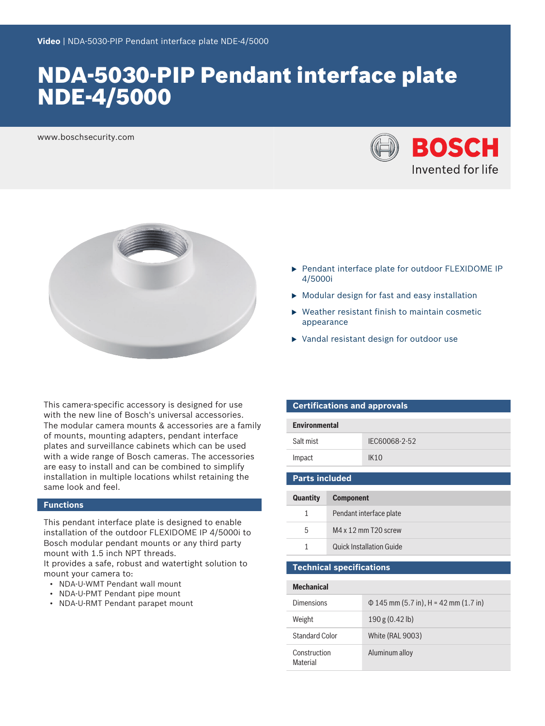# NDA-5030-PIP Pendant interface plate NDE-4/5000

www.boschsecurity.com





This camera-specific accessory is designed for use with the new line of Bosch's universal accessories. The modular camera mounts & accessories are a family of mounts, mounting adapters, pendant interface plates and surveillance cabinets which can be used with a wide range of Bosch cameras. The accessories are easy to install and can be combined to simplify installation in multiple locations whilst retaining the same look and feel.

#### **Functions**

This pendant interface plate is designed to enable installation of the outdoor FLEXIDOME IP 4/5000i to Bosch modular pendant mounts or any third party mount with 1.5 inch NPT threads.

It provides a safe, robust and watertight solution to mount your camera to:

- NDA-U-WMT Pendant wall mount
- NDA-U-PMT Pendant pipe mount
- NDA-U-RMT Pendant parapet mount
- ▶ Pendant interface plate for outdoor FLEXIDOME IP 4/5000i
- $\triangleright$  Modular design for fast and easy installation
- $\triangleright$  Weather resistant finish to maintain cosmetic appearance
- $\blacktriangleright$  Vandal resistant design for outdoor use

| <b>Certifications and approvals</b> |               |  |
|-------------------------------------|---------------|--|
| <b>Environmental</b>                |               |  |
| Salt mist                           | IFC60068-2-52 |  |
| Impact                              | IK10          |  |

### **Parts included**

| <b>Quantity</b> | <b>Component</b>                |
|-----------------|---------------------------------|
| 1.              | Pendant interface plate         |
| 5               | $M4 \times 12$ mm T20 screw     |
|                 | <b>Quick Installation Guide</b> |

#### **Technical specifications**

| <b>Mechanical</b>        |                                            |
|--------------------------|--------------------------------------------|
| Dimensions               | $\Phi$ 145 mm (5.7 in), H = 42 mm (1.7 in) |
| Weight                   | 190 g (0.42 b)                             |
| Standard Color           | White (RAL 9003)                           |
| Construction<br>Material | Aluminum alloy                             |